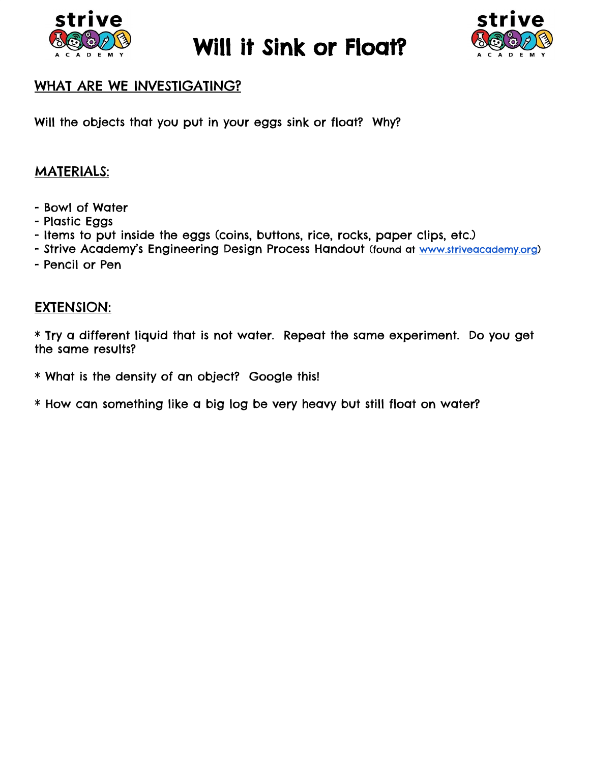

Will it Sink or Float?



## WHAT ARE WE INVESTIGATING?

Will the objects that you put in your eggs sink or float? Why?

## MATERIALS:

- Bowl of Water
- Plastic Eggs
- Items to put inside the eggs (coins, buttons, rice, rocks, paper clips, etc.)
- Strive Academy's Engineering Design Process Handout (found at [www.striveacademy.org\)](http://www.striveacademy.org/)
- Pencil or Pen

## EXTENSION:

\* Try a different liquid that is not water. Repeat the same experiment. Do you get the same results?

\* What is the density of an object? Google this!

\* How can something like a big log be very heavy but still float on water?